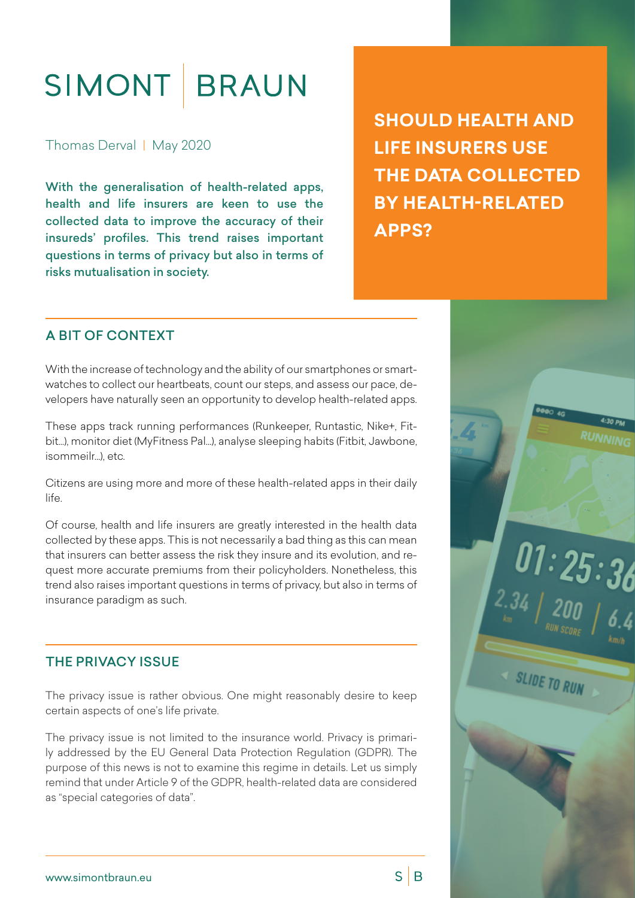# SIMONT BRAUN

Thomas Derval | May 2020

With the generalisation of health-related apps, health and life insurers are keen to use the collected data to improve the accuracy of their insureds' profiles. This trend raises important questions in terms of privacy but also in terms of risks mutualisation in society.

**SHOULD HEALTH AND LIFE INSURERS USE THE DATA COLLECTED BY HEALTH-RELATED APPS?** 

# A BIT OF CONTEXT

With the increase of technology and the ability of our smartphones or smartwatches to collect our heartbeats, count our steps, and assess our pace, developers have naturally seen an opportunity to develop health-related apps.

These apps track running performances (Runkeeper, Runtastic, Nike+, Fitbit…), monitor diet (MyFitness Pal...), analyse sleeping habits (Fitbit, Jawbone, isommeilr...), etc.

Citizens are using more and more of these health-related apps in their daily life.

Of course, health and life insurers are greatly interested in the health data collected by these apps. This is not necessarily a bad thing as this can mean that insurers can better assess the risk they insure and its evolution, and request more accurate premiums from their policyholders. Nonetheless, this trend also raises important questions in terms of privacy, but also in terms of insurance paradigm as such.

# THE PRIVACY ISSUE

The privacy issue is rather obvious. One might reasonably desire to keep certain aspects of one's life private.

The privacy issue is not limited to the insurance world. Privacy is primarily addressed by the EU General Data Protection Regulation (GDPR). The purpose of this news is not to examine this regime in details. Let us simply remind that under Article 9 of the GDPR, health-related data are considered as "special categories of data".



 $S \mid B$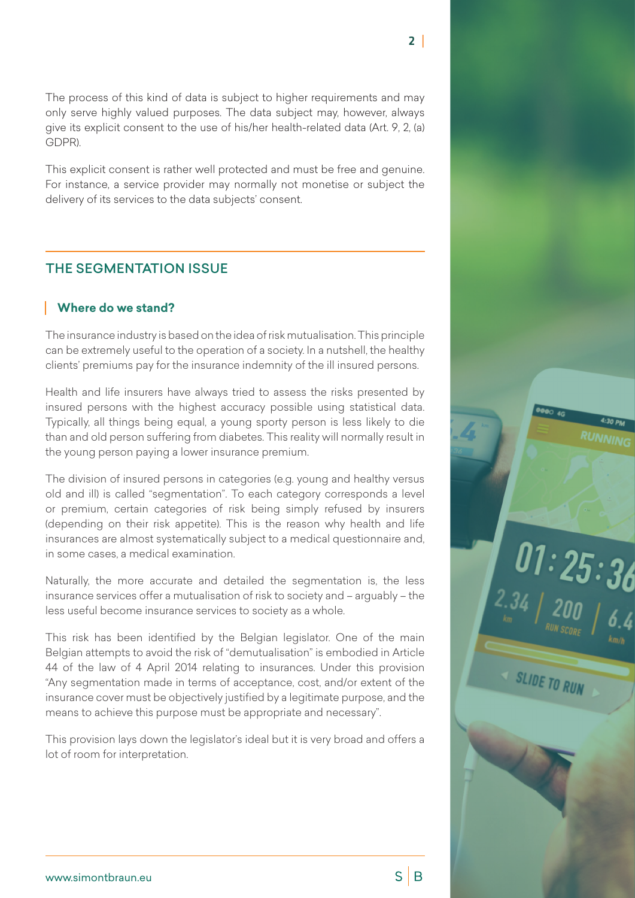The process of this kind of data is subject to higher requirements and may only serve highly valued purposes. The data subject may, however, always give its explicit consent to the use of his/her health-related data (Art. 9, 2, (a) GDPR).

This explicit consent is rather well protected and must be free and genuine. For instance, a service provider may normally not monetise or subject the delivery of its services to the data subjects' consent.

# THE SEGMENTATION ISSUE

#### **Where do we stand?**

The insurance industry is based on the idea of risk mutualisation. This principle can be extremely useful to the operation of a society. In a nutshell, the healthy clients' premiums pay for the insurance indemnity of the ill insured persons.

Health and life insurers have always tried to assess the risks presented by insured persons with the highest accuracy possible using statistical data. Typically, all things being equal, a young sporty person is less likely to die than and old person suffering from diabetes. This reality will normally result in the young person paying a lower insurance premium.

The division of insured persons in categories (e.g. young and healthy versus old and ill) is called "segmentation". To each category corresponds a level or premium, certain categories of risk being simply refused by insurers (depending on their risk appetite). This is the reason why health and life insurances are almost systematically subject to a medical questionnaire and, in some cases, a medical examination.

Naturally, the more accurate and detailed the segmentation is, the less insurance services offer a mutualisation of risk to society and – arguably – the less useful become insurance services to society as a whole.

This risk has been identified by the Belgian legislator. One of the main Belgian attempts to avoid the risk of "demutualisation" is embodied in Article 44 of the law of 4 April 2014 relating to insurances. Under this provision "Any segmentation made in terms of acceptance, cost, and/or extent of the insurance cover must be objectively justified by a legitimate purpose, and the means to achieve this purpose must be appropriate and necessary".

This provision lays down the legislator's ideal but it is very broad and offers a lot of room for interpretation.



 $\int_{2.34} 01:25:36$ 

SLIDE TO RUN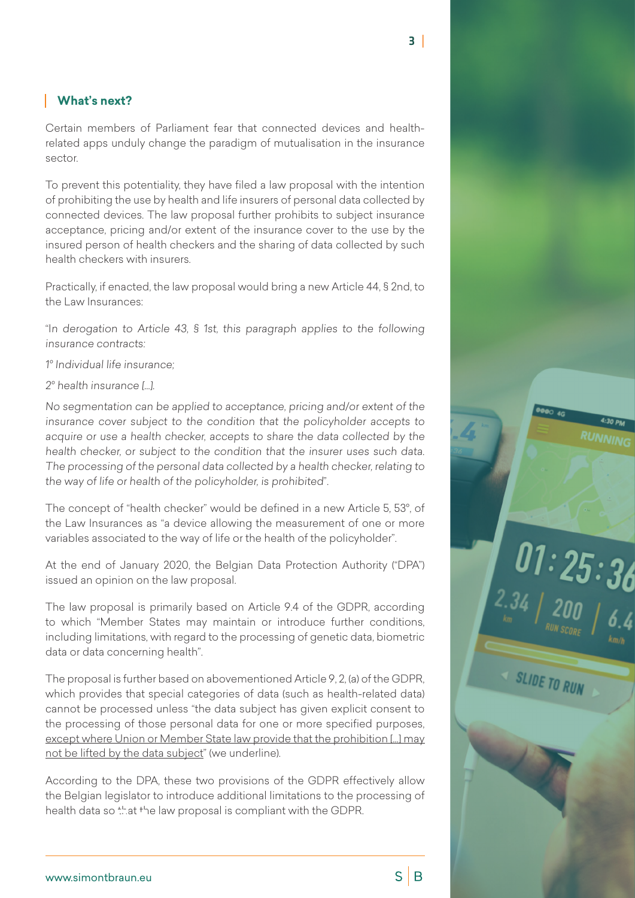## **What's next?**

Certain members of Parliament fear that connected devices and healthrelated apps unduly change the paradigm of mutualisation in the insurance sector.

To prevent this potentiality, they have filed a law proposal with the intention of prohibiting the use by health and life insurers of personal data collected by connected devices. The law proposal further prohibits to subject insurance acceptance, pricing and/or extent of the insurance cover to the use by the insured person of health checkers and the sharing of data collected by such health checkers with insurers.

Practically, if enacted, the law proposal would bring a new Article 44, § 2nd, to the Law Insurances:

"In derogation to Article 43, § 1st, this paragraph applies to the following insurance contracts:

1° Individual life insurance;

2° health insurance […].

No segmentation can be applied to acceptance, pricing and/or extent of the insurance cover subject to the condition that the policyholder accepts to acquire or use a health checker, accepts to share the data collected by the health checker, or subject to the condition that the insurer uses such data. The processing of the personal data collected by a health checker, relating to the way of life or health of the policyholder, is prohibited".

The concept of "health checker" would be defined in a new Article 5, 53°, of the Law Insurances as "a device allowing the measurement of one or more variables associated to the way of life or the health of the policyholder".

At the end of January 2020, the Belgian Data Protection Authority ("DPA") issued an opinion on the law proposal.

The law proposal is primarily based on Article 9.4 of the GDPR, according to which "Member States may maintain or introduce further conditions, including limitations, with regard to the processing of genetic data, biometric data or data concerning health".

The proposal is further based on abovementioned Article 9, 2, (a) of the GDPR, which provides that special categories of data (such as health-related data) cannot be processed unless "the data subject has given explicit consent to the processing of those personal data for one or more specified purposes, except where Union or Member State law provide that the prohibition […] may not be lifted by the data subject" (we underline).

According to the DPA, these two provisions of the GDPR effectively allow the Belgian legislator to introduce additional limitations to the processing of health data so that the law proposal is compliant with the GDPR.



 $S \mid B$ 

 $101:25:36$ 

SLIDE TO RUN